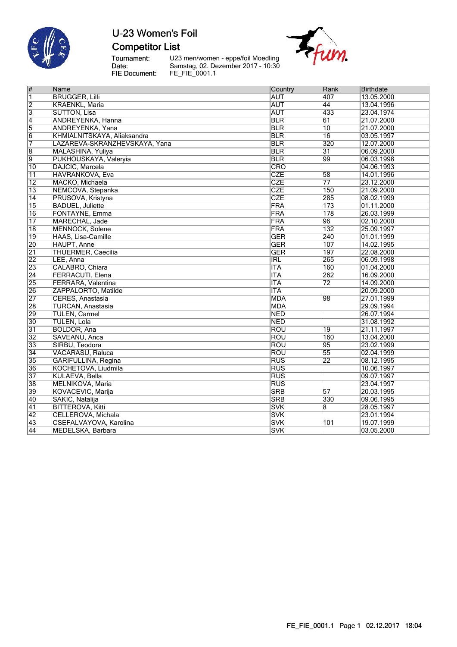

**Competitor List** 

Tournament:<br>Date:<br>FIE Document:

U23 men/women - eppe/foil Moedling<br>Samstag, 02. Dezember 2017 - 10:30<br>FE\_FIE\_0001.1



| $\overline{\#}$         | Name                          | Country    | Rank               | Birthdate  |
|-------------------------|-------------------------------|------------|--------------------|------------|
| $\overline{\mathbf{1}}$ | <b>BRUGGER, Lilli</b>         | <b>AUT</b> | 407                | 13.05.2000 |
| $\overline{2}$          | <b>KRAENKL, Maria</b>         | <b>AUT</b> | 44                 | 13.04.1996 |
| $\overline{3}$          | <b>SUTTON, Lisa</b>           | <b>AUT</b> | 433                | 23.04.1974 |
| $\overline{4}$          | ANDREYENKA, Hanna             | <b>BLR</b> | 61                 | 21.07.2000 |
| $\overline{5}$          | ANDREYENKA, Yana              | <b>BLR</b> | 10                 | 21.07.2000 |
| $\overline{6}$          | KHMIALNITSKAYA, Aliaksandra   | <b>BLR</b> | $\overline{16}$    | 03.05.1997 |
| 7                       | LAZAREVA-SKRANZHEVSKAYA, Yana | <b>BLR</b> | 320                | 12.07.2000 |
| $\overline{8}$          | MALASHINA, Yuliya             | <b>BLR</b> | $\overline{31}$    | 06.09.2000 |
| 9                       | PUKHOUSKAYA, Valeryia         | <b>BLR</b> | 99                 | 06.03.1998 |
| 10                      | DAJCIC, Marcela               | CRO        |                    | 04.06.1993 |
| $\overline{11}$         | <b>HAVRANKOVA, Eva</b>        | <b>CZE</b> | $\overline{58}$    | 14.01.1996 |
| $\overline{12}$         | MACKO, Michaela               | <b>CZE</b> | $\overline{77}$    | 23.12.2000 |
| $\overline{13}$         | NEMCOVA, Stepanka             | <b>CZE</b> | 150                | 21.09.2000 |
| $\overline{14}$         | PRUSOVA, Kristyna             | <b>CZE</b> | 285                | 08.02.1999 |
| $\overline{15}$         | <b>BADUEL, Juliette</b>       | <b>FRA</b> | 173                | 01.11.2000 |
| 16                      | FONTAYNE, Emma                | FRA        | 178                | 26.03.1999 |
| $\overline{17}$         | MARECHAL, Jade                | FRA        | 96                 | 02.10.2000 |
| $\overline{18}$         | <b>MENNOCK, Solene</b>        | FRA        | 132                | 25.09.1997 |
| 19                      | <b>HAAS, Lisa-Camille</b>     | <b>GER</b> | $\overline{240}$   | 01.01.1999 |
| 20                      | HAUPT, Anne                   | <b>GER</b> | 107                | 14.02.1995 |
| $\overline{21}$         | THUERMER, Caecilia            | <b>GER</b> | 197                | 22.08.2000 |
| 22                      | LEE, Anna                     | <b>IRL</b> | 265                | 06.09.1998 |
| 23                      | CALABRO, Chiara               | <b>ITA</b> | 160                | 01.04.2000 |
| $\overline{24}$         | FERRACUTI, Elena              | <b>ITA</b> | $\overline{262}$   | 16.09.2000 |
| 25                      | FERRARA, Valentina            | <b>ITA</b> | $\overline{72}$    | 14.09.2000 |
| 26                      | ZAPPALORTO, Matilde           | <b>ITA</b> |                    | 20.09.2000 |
| 27                      | CERES, Anastasia              | <b>MDA</b> | 98                 | 27.01.1999 |
| 28                      | <b>TURCAN, Anastasia</b>      | <b>MDA</b> |                    | 29.09.1994 |
| 29                      | <b>TULEN, Carmel</b>          | <b>NED</b> |                    | 26.07.1994 |
| 30                      | <b>TULEN, Lola</b>            | <b>NED</b> |                    | 31.08.1992 |
| $\overline{31}$         | <b>BOLDOR, Ana</b>            | ROU        | 19                 | 21.11.1997 |
| 32                      | SAVEANU, Anca                 | ROU        | 160                | 13.04.2000 |
| $\overline{33}$         | SIRBU, Teodora                | <b>ROU</b> | 95                 | 23.02.1999 |
| $\overline{34}$         | <b>VACARASU, Raluca</b>       | <b>ROU</b> | $\overline{55}$    | 02.04.1999 |
| 35                      | GARIFULLINA, Regina           | <b>RUS</b> | $\overline{22}$    | 08.12.1995 |
| 36                      | KOCHETOVA, Liudmila           | <b>RUS</b> |                    | 10.06.1997 |
| $\overline{37}$         | <b>KULAEVA, Bella</b>         | <b>RUS</b> |                    | 09.07.1997 |
| 38                      | MELNIKOVA, Maria              | <b>RUS</b> |                    | 23.04.1997 |
| 39                      | KOVACEVIC, Marija             | <b>SRB</b> | 57                 | 20.03.1995 |
| 40                      | SAKIC, Natalija               | <b>SRB</b> | 330                | 09.06.1995 |
| 41                      | <b>BITTEROVA, Kitti</b>       | <b>SVK</b> | $\overline{\bf 8}$ | 28.05.1997 |
| 42                      | CELLEROVA, Michala            | <b>SVK</b> |                    | 23.01.1994 |
| 43                      | CSEFALVAYOVA, Karolina        | <b>SVK</b> | 101                | 19.07.1999 |
| $\overline{A4}$         | MEDELSKA Barbara              | SWK        |                    | 03 05 2000 |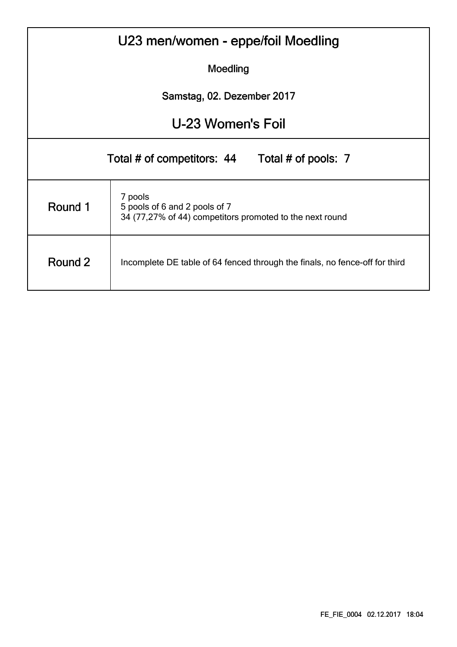| U23 men/women - eppe/foil Moedling |                                                                                                      |  |  |  |  |  |  |  |  |
|------------------------------------|------------------------------------------------------------------------------------------------------|--|--|--|--|--|--|--|--|
| Moedling                           |                                                                                                      |  |  |  |  |  |  |  |  |
|                                    | Samstag, 02. Dezember 2017                                                                           |  |  |  |  |  |  |  |  |
|                                    | U-23 Women's Foil                                                                                    |  |  |  |  |  |  |  |  |
|                                    | Total # of competitors: 44 Total # of pools: 7                                                       |  |  |  |  |  |  |  |  |
| Round 1                            | 7 pools<br>5 pools of 6 and 2 pools of 7<br>34 (77,27% of 44) competitors promoted to the next round |  |  |  |  |  |  |  |  |
| Round 2                            | Incomplete DE table of 64 fenced through the finals, no fence-off for third                          |  |  |  |  |  |  |  |  |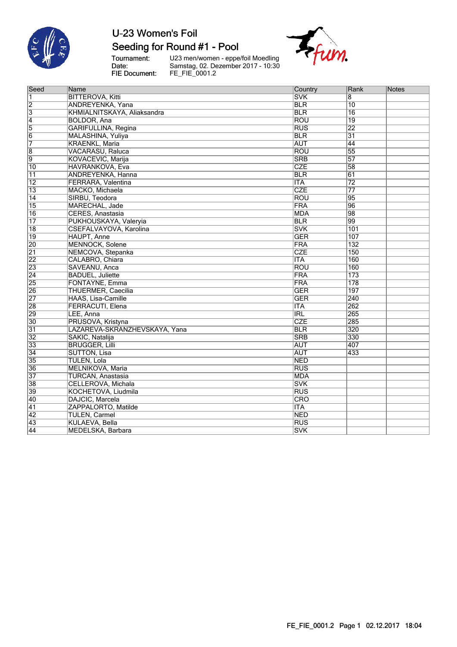

### Seeding for Round #1 - Pool

Tournament:<br>Date: FIE Document:

U23 men/women - eppe/foil Moedling<br>Samstag, 02. Dezember 2017 - 10:30<br>FE\_FIE\_0001.2



| Seed            | Name                          | Country    | Rank            | Notes |
|-----------------|-------------------------------|------------|-----------------|-------|
| $\overline{1}$  | <b>BITTEROVA, Kitti</b>       | <b>SVK</b> | 8               |       |
| $\frac{2}{3}$   | ANDREYENKA, Yana              | <b>BLR</b> | 10              |       |
|                 | KHMIALNITSKAYA, Aliaksandra   | <b>BLR</b> | $\overline{16}$ |       |
| $\overline{4}$  | <b>BOLDOR, Ana</b>            | <b>ROU</b> | $\overline{19}$ |       |
| $\overline{5}$  | <b>GARIFULLINA, Regina</b>    | RUS        | $\overline{22}$ |       |
| $\overline{6}$  | MALASHINA, Yuliya             | <b>BLR</b> | $\overline{31}$ |       |
| 7               | <b>KRAENKL, Maria</b>         | <b>AUT</b> | 44              |       |
| $\overline{8}$  | <b>VACARASU, Raluca</b>       | <b>ROU</b> | 55              |       |
| $\overline{9}$  | KOVACEVIC, Marija             | <b>SRB</b> | 57              |       |
| $\overline{10}$ | HAVRANKOVA, Eva               | <b>CZE</b> | 58              |       |
| $\overline{11}$ | ANDREYENKA, Hanna             | <b>BLR</b> | 61              |       |
| $\overline{12}$ | FERRARA, Valentina            | <b>ITA</b> | $\overline{72}$ |       |
| $\overline{13}$ | MACKO, Michaela               | <b>CZE</b> | $\overline{77}$ |       |
| $\overline{14}$ | SIRBU, Teodora                | <b>ROU</b> | 95              |       |
| 15              | MARECHAL, Jade                | <b>FRA</b> | 96              |       |
| 16              | CERES, Anastasia              | <b>MDA</b> | 98              |       |
| $\overline{17}$ | PUKHOUSKAYA, Valeryia         | <b>BLR</b> | $\overline{99}$ |       |
| 18              | CSEFALVAYOVA, Karolina        | <b>SVK</b> | 101             |       |
| $\overline{19}$ | <b>HAUPT, Anne</b>            | <b>GER</b> | 107             |       |
| 20              | <b>MENNOCK, Solene</b>        | <b>FRA</b> | 132             |       |
| $\overline{21}$ | NEMCOVA, Stepanka             | <b>CZE</b> | 150             |       |
| $\overline{22}$ | CALABRO, Chiara               | <b>ITA</b> | 160             |       |
| 23              | SAVEANU, Anca                 | <b>ROU</b> | 160             |       |
| $\overline{24}$ | <b>BADUEL, Juliette</b>       | <b>FRA</b> | 173             |       |
| 25              | FONTAYNE, Emma                | <b>FRA</b> | 178             |       |
| 26              | THUERMER, Caecilia            | <b>GER</b> | 197             |       |
| 27              | HAAS, Lisa-Camille            | <b>GER</b> | 240             |       |
| 28              | FERRACUTI, Elena              | <b>ITA</b> | 262             |       |
| 29              | LEE, Anna                     | <b>IRL</b> | 265             |       |
| 30              | PRUSOVA, Kristyna             | CZE        | 285             |       |
| $\overline{31}$ | LAZAREVA-SKRANZHEVSKAYA, Yana | <b>BLR</b> | 320             |       |
| 32              | SAKIC, Natalija               | <b>SRB</b> | 330             |       |
| 33              | <b>BRUGGER, Lilli</b>         | <b>AUT</b> | 407             |       |
| $\overline{34}$ | <b>SUTTON, Lisa</b>           | <b>AUT</b> | 433             |       |
| 35              | <b>TULEN, Lola</b>            | <b>NED</b> |                 |       |
| 36              | MELNIKOVA, Maria              | RUS        |                 |       |
| 37              | <b>TURCAN, Anastasia</b>      | <b>MDA</b> |                 |       |
| 38              | CELLEROVA, Michala            | <b>SVK</b> |                 |       |
| 39              | KOCHETOVA, Liudmila           | <b>RUS</b> |                 |       |
| 40              | DAJCIC, Marcela               | CRO        |                 |       |
| $\overline{41}$ | ZAPPALORTO, Matilde           | ITA        |                 |       |
| $\overline{42}$ | <b>TULEN, Carmel</b>          | <b>NED</b> |                 |       |
| 43              | KULAEVA, Bella                | <b>RUS</b> |                 |       |
| 44              | MEDELSKA, Barbara             | <b>SVK</b> |                 |       |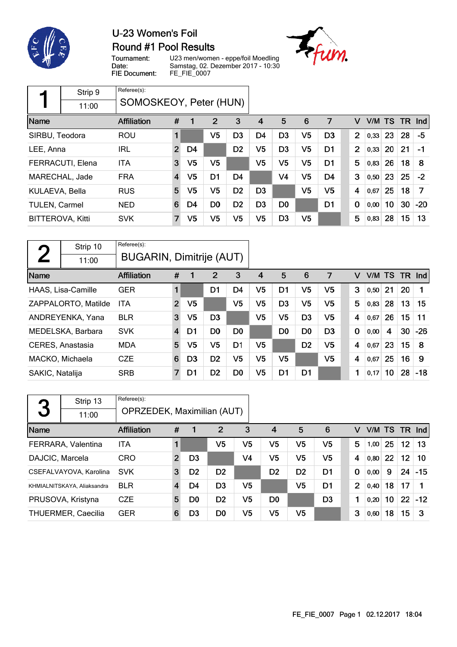



Tournament: Date: FIE Document:

U23 men/women - eppe/foil Moedling Samstag, 02. Dezember 2017 - 10:30 FE\_FIE\_0007



|                         | Strip 9          | Referee(s):            |                |                |                |                |                |                |                |                |                |      |        |     |            |
|-------------------------|------------------|------------------------|----------------|----------------|----------------|----------------|----------------|----------------|----------------|----------------|----------------|------|--------|-----|------------|
|                         | 11:00            | SOMOSKEOY, Peter (HUN) |                |                |                |                |                |                |                |                |                |      |        |     |            |
| Name                    |                  | <b>Affiliation</b>     | #              |                | 2              | 3              | 4              | 5              | 6              | 7              | v              |      | V/M TS | TR. | <b>Ind</b> |
| SIRBU, Teodora          |                  | <b>ROU</b>             | 1              |                | V <sub>5</sub> | D <sub>3</sub> | D4             | D <sub>3</sub> | V <sub>5</sub> | D <sub>3</sub> | $\overline{2}$ | 0,33 | 23     | 28  | $-5$       |
| LEE, Anna               |                  | IRL                    | $\overline{2}$ | D4             |                | D <sub>2</sub> | V <sub>5</sub> | D <sub>3</sub> | V <sub>5</sub> | D <sub>1</sub> | $\overline{2}$ | 0,33 | 20     | 21  | $-1$       |
|                         | FERRACUTI, Elena | <b>ITA</b>             | 3              | V <sub>5</sub> | V5             |                | V5             | V <sub>5</sub> | V <sub>5</sub> | D <sub>1</sub> | 5              | 0,83 | 26     | 18  | 8          |
|                         | MARECHAL, Jade   | <b>FRA</b>             | $\overline{4}$ | V <sub>5</sub> | D <sub>1</sub> | D4             |                | V4             | V <sub>5</sub> | D <sub>4</sub> | 3              | 0,50 | 23     | 25  | $-2$       |
| KULAEVA, Bella          |                  | <b>RUS</b>             | 5              | V <sub>5</sub> | V <sub>5</sub> | D <sub>2</sub> | D <sub>3</sub> |                | V <sub>5</sub> | V5             | 4              | 0,67 | 25     | 18  | 7          |
| <b>TULEN, Carmel</b>    |                  | <b>NED</b>             | 6              | D4             | D <sub>0</sub> | D <sub>2</sub> | D3             | D <sub>0</sub> |                | D <sub>1</sub> | $\bf{0}$       | 0,00 | 10     | 30  | $-20$      |
| <b>BITTEROVA, Kitti</b> |                  | <b>SVK</b>             | $\overline{7}$ | V <sub>5</sub> | V <sub>5</sub> | V5             | V5             | D <sub>3</sub> | V <sub>5</sub> |                | 5              | 0,83 | 28     | 15  | 13         |

| ◚               | Strip 10                  | Referee(s):                     |                         |                |                |                |                |                |                |                |             |        |    |           |       |
|-----------------|---------------------------|---------------------------------|-------------------------|----------------|----------------|----------------|----------------|----------------|----------------|----------------|-------------|--------|----|-----------|-------|
|                 | 11:00                     | <b>BUGARIN, Dimitrije (AUT)</b> |                         |                |                |                |                |                |                |                |             |        |    |           |       |
| Name            |                           | Affiliation                     | #                       |                | 2              | 3              | 4              | 5              | 6              | 7              | v           | V/M TS |    | <b>TR</b> | Ind   |
|                 | <b>HAAS, Lisa-Camille</b> | <b>GER</b>                      |                         |                | D1             | D4             | V <sub>5</sub> | D1             | V <sub>5</sub> | V <sub>5</sub> | 3           | 0,50   | 21 | 20        |       |
|                 | ZAPPALORTO, Matilde       | <b>ITA</b>                      | $\overline{2}$          | V <sub>5</sub> |                | V <sub>5</sub> | V <sub>5</sub> | D <sub>3</sub> | V <sub>5</sub> | V5             | 5           | 0,83   | 28 | 13        | 15    |
|                 | ANDREYENKA, Yana          | <b>BLR</b>                      | 3                       | V5             | D <sub>3</sub> |                | V <sub>5</sub> | V5             | D <sub>3</sub> | V5             | 4           | 0,67   | 26 | 15        | 11    |
|                 | MEDELSKA, Barbara         | <b>SVK</b>                      | $\overline{\mathbf{4}}$ | D1             | D <sub>0</sub> | D <sub>0</sub> |                | D <sub>0</sub> | D <sub>0</sub> | D <sub>3</sub> | $\mathbf 0$ | 0,00   | 4  | 30        | $-26$ |
|                 | CERES, Anastasia          | <b>MDA</b>                      | 5                       | V <sub>5</sub> | V <sub>5</sub> | D <sub>1</sub> | V <sub>5</sub> |                | D <sub>2</sub> | V5             | 4           | 0.67   | 23 | 15        | 8     |
|                 | MACKO, Michaela           | <b>CZE</b>                      | 6                       | D <sub>3</sub> | D <sub>2</sub> | V5             | V <sub>5</sub> | V <sub>5</sub> |                | V <sub>5</sub> | 4           | 0,67   | 25 | 16        | 9     |
| SAKIC, Natalija |                           | <b>SRB</b>                      | 7                       | D1             | D <sub>2</sub> | D <sub>0</sub> | V5             | D1             | D <sub>1</sub> |                | 1           | 0,17   | 10 | 28        | $-18$ |

| 3               | Strip 13                    | Referee(s):                |   |                |                |                |                |                |                |   |                        |        |                   |          |
|-----------------|-----------------------------|----------------------------|---|----------------|----------------|----------------|----------------|----------------|----------------|---|------------------------|--------|-------------------|----------|
|                 | 11:00                       | OPRZEDEK, Maximilian (AUT) |   |                |                |                |                |                |                |   |                        |        |                   |          |
| Name            |                             | <b>Affiliation</b>         | # |                | 2              | 3              | $\overline{4}$ | 5              | 6              | V |                        | V/M TS |                   | $TR$ Ind |
|                 | FERRARA, Valentina          | <b>ITA</b>                 |   |                | V5             | V5             | V5             | V5             | V5             | 5 | 1,00                   | 25     | 12 <sub>2</sub>   | 13       |
| DAJCIC, Marcela |                             | CRO                        | 2 | D <sub>3</sub> |                | V <sub>4</sub> | V5             | V5             | V5             | 4 | 0,80                   | 22     | 12 <sub>2</sub>   | 10       |
|                 | CSEFALVAYOVA, Karolina      | <b>SVK</b>                 | 3 | D <sub>2</sub> | D <sub>2</sub> |                | D <sub>2</sub> | D <sub>2</sub> | D1             | 0 | 0,00                   | 9      | 24                | $-15$    |
|                 | KHMIALNITSKAYA, Aliaksandra | <b>BLR</b>                 | 4 | D4             | D <sub>3</sub> | V5             |                | V5             | D <sub>1</sub> |   | $\overline{2}$<br>0,40 | 18     | 17                |          |
|                 | PRUSOVA, Kristyna           | <b>CZE</b>                 | 5 | D <sub>0</sub> | D <sub>2</sub> | V5             | D <sub>0</sub> |                | D <sub>3</sub> | 1 | 0,20                   | 10     | $22 \overline{ }$ | $-12$    |
|                 | <b>THUERMER, Caecilia</b>   | <b>GER</b>                 | 6 | D <sub>3</sub> | D <sub>0</sub> | V5             | V <sub>5</sub> | V5             |                | 3 | 0,60                   | 18     | 15                | 3        |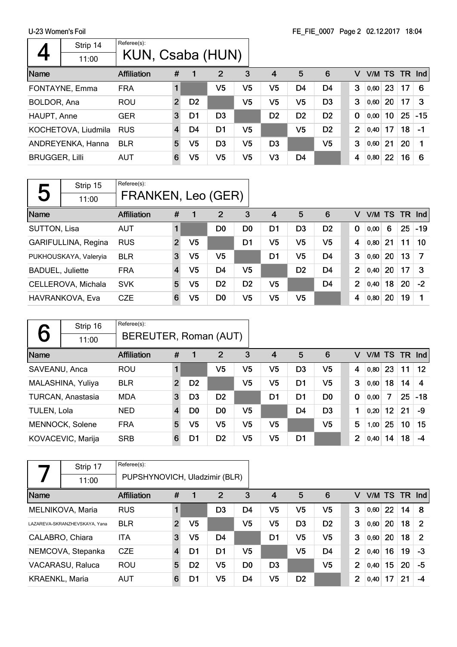$\Gamma$ 

|                       | Strip 14            | Referee(s):        |                |                |                |    |                |                |                |                |       |        |     |            |
|-----------------------|---------------------|--------------------|----------------|----------------|----------------|----|----------------|----------------|----------------|----------------|-------|--------|-----|------------|
|                       | 11:00               | KUN, Csaba (HUN)   |                |                |                |    |                |                |                |                |       |        |     |            |
| Name                  |                     | <b>Affiliation</b> | #              |                | $\overline{2}$ | 3  | $\overline{4}$ | 5              | 6              | v              |       | V/M TS | TR. | <b>Ind</b> |
|                       | FONTAYNE, Emma      | <b>FRA</b>         |                |                | V5             | V5 | V5             | D4             | D4             | 3              | 0,60  | 23     | 17  | 6          |
| BOLDOR, Ana           |                     | ROU                | $\overline{2}$ | D <sub>2</sub> |                | V5 | V5             | V5             | D <sub>3</sub> | 3              | 0,60  | 20     | 17  | 3          |
| HAUPT, Anne           |                     | <b>GER</b>         | 3              | D1             | D <sub>3</sub> |    | D <sub>2</sub> | D <sub>2</sub> | D <sub>2</sub> | 0              | 0,00  | 10     | 25  | $-15$      |
|                       | KOCHETOVA, Liudmila | <b>RUS</b>         | $\overline{4}$ | D4             | D1             | V5 |                | V <sub>5</sub> | D <sub>2</sub> | $\overline{2}$ | 0,40  | 17     | 18  | $-1$       |
|                       | ANDREYENKA, Hanna   | <b>BLR</b>         | 5              | V5             | D <sub>3</sub> | V5 | D <sub>3</sub> |                | V5             | 3              | 0,60  | 21     | 20  |            |
| <b>BRUGGER, Lilli</b> |                     | AUT                | 6              | V <sub>5</sub> | V5             | V5 | V <sub>3</sub> | D <sub>4</sub> |                | 4              | 0, 80 | 22     | 16  | 6          |

|                         | Strip 15              | Referee(s):        |                |                |                |                |                |                |                |                |       |        |    |        |
|-------------------------|-----------------------|--------------------|----------------|----------------|----------------|----------------|----------------|----------------|----------------|----------------|-------|--------|----|--------|
| 5                       | 11:00                 | FRANKEN, Leo (GER) |                |                |                |                |                |                |                |                |       |        |    |        |
| Name                    |                       | <b>Affiliation</b> | #              |                | $\overline{2}$ | 3              | $\overline{4}$ | 5              | 6              | v              |       | V/M TS |    | TR Ind |
| SUTTON, Lisa            |                       | <b>AUT</b>         |                |                | D <sub>0</sub> | D <sub>0</sub> | D1             | D <sub>3</sub> | D <sub>2</sub> | $\mathbf 0$    | 0,00  | 6      | 25 | $-19$  |
|                         | GARIFULLINA, Regina   | <b>RUS</b>         | $\overline{2}$ | V5             |                | D <sub>1</sub> | V <sub>5</sub> | V <sub>5</sub> | V <sub>5</sub> | 4              | 0,80  | 21     | 11 | 10     |
|                         | PUKHOUSKAYA, Valeryia | <b>BLR</b>         | 3              | V5             | V <sub>5</sub> |                | D1             | V <sub>5</sub> | D4             | 3              | 0,60  | 20     | 13 | 7      |
| <b>BADUEL, Juliette</b> |                       | <b>FRA</b>         | $\overline{4}$ | V <sub>5</sub> | D4             | V5             |                | D <sub>2</sub> | D <sub>4</sub> | $\overline{2}$ | 0,40  | 20     | 17 | 3      |
|                         | CELLEROVA, Michala    | <b>SVK</b>         | 5              | V5             | D <sub>2</sub> | D <sub>2</sub> | V <sub>5</sub> |                | D <sub>4</sub> | $\overline{2}$ | 0,40  | 18     | 20 | $-2$   |
|                         | HAVRANKOVA, Eva       | <b>CZE</b>         | 6              | V5             | D <sub>0</sub> | V5             | V5             | V <sub>5</sub> |                | 4              | 0, 80 | 20     | 19 |        |

|               | Strip 16<br>11:00 | Referee(s):<br>BEREUTER, Roman (AUT) |                |                |                |    |                |                |                |                |       |        |     |       |
|---------------|-------------------|--------------------------------------|----------------|----------------|----------------|----|----------------|----------------|----------------|----------------|-------|--------|-----|-------|
| Name          |                   | <b>Affiliation</b>                   | #              |                | 2              | 3  | 4              | 5              | 6              | v              |       | V/M TS | TR. | Ind   |
| SAVEANU, Anca |                   | <b>ROU</b>                           |                |                | V <sub>5</sub> | V5 | V5             | D <sub>3</sub> | V5             | 4              | 0, 80 | 23     | 11  | 12    |
|               | MALASHINA, Yuliya | <b>BLR</b>                           | $\overline{2}$ | D <sub>2</sub> |                | V5 | V <sub>5</sub> | D <sub>1</sub> | V <sub>5</sub> | 3              | 0,60  | 18     | 14  | 4     |
|               | TURCAN, Anastasia | <b>MDA</b>                           | 3              | D <sub>3</sub> | D <sub>2</sub> |    | D1             | D1             | D <sub>0</sub> | 0              | 0,00  | 7      | 25  | $-18$ |
| TULEN, Lola   |                   | <b>NED</b>                           | $\overline{4}$ | D <sub>0</sub> | D <sub>0</sub> | V5 |                | D <sub>4</sub> | D <sub>3</sub> | 1              | 0,20  | 12     | 21  | -9    |
|               | MENNOCK, Solene   | <b>FRA</b>                           | 5              | V5             | V <sub>5</sub> | V5 | V5             |                | V5             | 5              | 1,00  | 25     | 10  | 15    |
|               | KOVACEVIC, Marija | <b>SRB</b>                           | 6              | D1             | D <sub>2</sub> | V5 | V5             | D <sub>1</sub> |                | $\overline{2}$ | 0,40  | 14     | 18  | $-4$  |

|                       | Strip 17                      | Referee(s):                   |                |                |                |                |                |                |                |                |        |    |    |                |
|-----------------------|-------------------------------|-------------------------------|----------------|----------------|----------------|----------------|----------------|----------------|----------------|----------------|--------|----|----|----------------|
|                       | 11:00                         | PUPSHYNOVICH, Uladzimir (BLR) |                |                |                |                |                |                |                |                |        |    |    |                |
| Name                  |                               | <b>Affiliation</b>            | #              |                | 2              | 3              | $\overline{4}$ | 5              | 6              | V              | V/M TS |    |    | TR Ind         |
|                       | MELNIKOVA, Maria              | <b>RUS</b>                    |                |                | D3             | D4             | V5             | V5             | V5             | 3              | 0,60   | 22 | 14 | -8             |
|                       | LAZAREVA-SKRANZHEVSKAYA, Yana | <b>BLR</b>                    | $\overline{2}$ | V <sub>5</sub> |                | V5             | V5             | D <sub>3</sub> | D <sub>2</sub> | 3              | 0,60   | 20 | 18 | $\overline{2}$ |
|                       | CALABRO, Chiara               | <b>ITA</b>                    | 3              | V5             | D4             |                | D1             | V5             | V <sub>5</sub> | 3              | 0,60   | 20 | 18 | $\mathcal{P}$  |
|                       | NEMCOVA, Stepanka             | <b>CZE</b>                    | $\overline{4}$ | D1             | D <sub>1</sub> | V <sub>5</sub> |                | V5             | D <sub>4</sub> | $\overline{2}$ | 0,40   | 16 | 19 | -3             |
|                       | VACARASU, Raluca              | <b>ROU</b>                    | 5              | D <sub>2</sub> | V5             | D <sub>0</sub> | D <sub>3</sub> |                | V5             | $\overline{2}$ | 0,40   | 15 | 20 | -5             |
| <b>KRAENKL, Maria</b> |                               | <b>AUT</b>                    | 6              | D1             | V <sub>5</sub> | D4             | V5             | D <sub>2</sub> |                | 2              | 0,40   | 17 | 21 | -4             |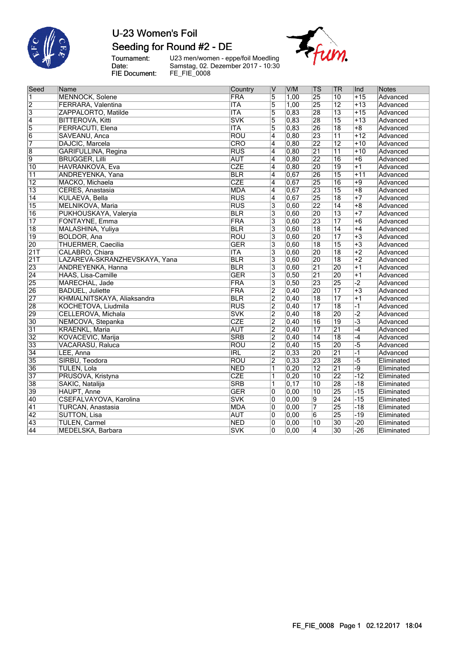

### Seeding for Round #2 - DE

Tournament:<br>Date: FIE Document:

U23 men/women - eppe/foil Moedling<br>Samstag, 02. Dezember 2017 - 10:30<br>FE\_FIE\_0008



| Seed             | Name                          | Country    | lV                      | V/M               | $ \mathsf{TS} $ | TR              | Ind             | <b>Notes</b> |
|------------------|-------------------------------|------------|-------------------------|-------------------|-----------------|-----------------|-----------------|--------------|
| $\overline{1}$   | <b>MENNOCK, Solene</b>        | <b>FRA</b> | $\overline{5}$          | 1,00              | $\overline{25}$ | 10              | $+15$           | Advanced     |
| $\overline{2}$   | FERRARA, Valentina            | <b>ITA</b> | $\overline{5}$          | 1,00              | 25              | $\overline{12}$ | $+13$           | Advanced     |
| $\overline{3}$   | ZAPPALORTO, Matilde           | <b>ITA</b> | 5                       | 0,83              | 28              | $\overline{13}$ | $+15$           | Advanced     |
| $\overline{4}$   | <b>BITTEROVA, Kitti</b>       | <b>SVK</b> | $\overline{5}$          | 0,83              | 28              | $\overline{15}$ | $+13$           | Advanced     |
| $\overline{5}$   | FERRACUTI, Elena              | <b>ITA</b> | 5                       | 0,83              | 26              | $\overline{18}$ | $+8$            | Advanced     |
| $\overline{6}$   | SAVEANU, Anca                 | <b>ROU</b> | $\overline{4}$          | 0,80              | $\overline{23}$ | $\overline{11}$ | $+12$           | Advanced     |
| 7                | DAJCIC, Marcela               | CRO        | $\overline{4}$          | 0,80              | $\overline{22}$ | $\overline{12}$ | $+10$           | Advanced     |
| 8                | GARIFULLINA, Regina           | RUS        | $\overline{4}$          | 0,80              | $\overline{21}$ | $\overline{11}$ | $+10$           | Advanced     |
| 9                | <b>BRUGGER, Lilli</b>         | <b>AUT</b> | $\overline{4}$          | 0,80              | $\overline{22}$ | 16              | $\overline{+6}$ | Advanced     |
| $\overline{10}$  | HAVRANKOVA, Eva               | <b>CZE</b> | $\overline{4}$          | 0,80              | 20              | $\overline{19}$ | $+1$            | Advanced     |
| $\overline{11}$  | ANDREYENKA, Yana              | <b>BLR</b> | 4                       | 0,67              | 26              | $\overline{15}$ | $+11$           | Advanced     |
| $\overline{12}$  | MACKO, Michaela               | <b>CZE</b> | 4                       | 0,67              | $\overline{25}$ | 16              | $+9$            | Advanced     |
| $\overline{13}$  | CERES, Anastasia              | <b>MDA</b> | $\overline{4}$          | 0,67              | $\overline{23}$ | $\overline{15}$ | $+8$            | Advanced     |
| 14               | KULAEVA, Bella                | <b>RUS</b> | 4                       | 0,67              | 25              | 18              | $+7$            | Advanced     |
| 15               | MELNIKOVA, Maria              | RUS        | $\overline{3}$          | 0,60              | $\overline{22}$ | $\overline{14}$ | $+8$            | Advanced     |
| $\overline{16}$  | PUKHOUSKAYA, Valeryia         | <b>BLR</b> | $\overline{3}$          | 0,60              | $\overline{20}$ | $\overline{13}$ | $+7$            | Advanced     |
| $\overline{17}$  | FONTAYNE, Emma                | <b>FRA</b> | 3                       | 0,60              | $\overline{23}$ | $\overline{17}$ | $+6$            | Advanced     |
| 18               | MALASHINA, Yuliya             | <b>BLR</b> | $\overline{3}$          | 0,60              | $\overline{18}$ | $\overline{14}$ | $+4$            | Advanced     |
| 19               | BOLDOR, Ana                   | <b>ROU</b> | $\overline{3}$          | 0,60              | 20              | $\overline{17}$ | $+3$            | Advanced     |
| 20               | <b>THUERMER, Caecilia</b>     | <b>GER</b> | $\overline{3}$          | 0.60              | $\overline{18}$ | 15              | $+3$            | Advanced     |
| $\overline{21T}$ | CALABRO, Chiara               | <b>ITA</b> | $\overline{3}$          | 0,60              | $\overline{20}$ | $\overline{18}$ | $+2$            | Advanced     |
| 21T              | LAZAREVA-SKRANZHEVSKAYA, Yana | <b>BLR</b> | $\overline{3}$          | 0,60              | $\overline{20}$ | $\overline{18}$ | $+2$            | Advanced     |
| 23               | <b>ANDREYENKA, Hanna</b>      | <b>BLR</b> | $\overline{3}$          | 0,60              | $\overline{21}$ | 20              | $+1$            | Advanced     |
| $\overline{24}$  | HAAS, Lisa-Camille            | <b>GER</b> | $\overline{3}$          | 0,50              | $\overline{21}$ | 20              | $+1$            | Advanced     |
| 25               | MARECHAL, Jade                | FRA        | $\overline{3}$          | 0,50              | $\overline{23}$ | 25              | $\overline{-2}$ | Advanced     |
| 26               | <b>BADUEL, Juliette</b>       | <b>FRA</b> | $\overline{2}$          | $ 0,40\rangle$    | $\overline{20}$ | $\overline{17}$ | $\overline{+3}$ | Advanced     |
| $\overline{27}$  | KHMIALNITSKAYA, Aliaksandra   | <b>BLR</b> | $\overline{2}$          | 0,40              | $\overline{18}$ | $\overline{17}$ | $+1$            | Advanced     |
| 28               | KOCHETOVA, Liudmila           | RUS        | $\overline{2}$          | 0,40              | $\overline{17}$ | $\overline{18}$ | $-1$            | Advanced     |
| 29               | CELLEROVA, Michala            | <b>SVK</b> | $\overline{2}$          | 0,40              | $\overline{18}$ | 20              | $\overline{-2}$ | Advanced     |
| 30               | NEMCOVA, Stepanka             | <b>CZE</b> | $\overline{2}$          | 0,40              | $\overline{16}$ | $\overline{19}$ | $\overline{-3}$ | Advanced     |
| $\overline{31}$  | <b>KRAENKL, Maria</b>         | <b>AUT</b> | $\overline{2}$          | 0,40              | $\overline{17}$ | $\overline{21}$ | $-4$            | Advanced     |
| 32               | KOVACEVIC, Marija             | <b>SRB</b> | $\overline{2}$          | $ 0,40\rangle$    | $\overline{14}$ | $\overline{18}$ | $-4$            | Advanced     |
| 33               | VACARASU, Raluca              | <b>ROU</b> | $\overline{2}$          | 0,40              | $\overline{15}$ | 20              | $-5$            | Advanced     |
| 34               | LEE, Anna                     | <b>IRL</b> | $\overline{2}$          | 0,33              | $\overline{20}$ | $\overline{21}$ | $-1$            | Advanced     |
| 35               | SIRBU, Teodora                | <b>ROU</b> | $\overline{2}$          | $\overline{0,33}$ | $\overline{23}$ | 28              | $-5$            | Eliminated   |
| 36               | TULEN, Lola                   | <b>NED</b> | $\overline{\mathbf{1}}$ | 0,20              | $\overline{12}$ | $\overline{21}$ | $-9$            | Eliminated   |
| 37               | PRUSOVA, Kristyna             | <b>CZE</b> | $\overline{1}$          | 0,20              | $\overline{10}$ | 22              | $-12$           | Eliminated   |
| 38               | SAKIC, Natalija               | <b>SRB</b> | 1                       | 0, 17             | $\overline{10}$ | 28              | $-18$           | Eliminated   |
| 39               | <b>HAUPT, Anne</b>            | <b>GER</b> | $\overline{0}$          | 0,00              | $\overline{10}$ | 25              | $-15$           | Eliminated   |
| 40               | CSEFALVAYOVA, Karolina        | <b>SVK</b> | $\overline{0}$          | 0,00              | 9               | $\overline{24}$ | $-15$           | Eliminated   |
| 41               | <b>TURCAN, Anastasia</b>      | <b>MDA</b> | 0                       | 0,00              | 7               | 25              | $-18$           | Eliminated   |
| 42               | <b>SUTTON, Lisa</b>           | <b>AUT</b> | $\overline{0}$          | 0,00              | $\overline{6}$  | 25              | $-19$           | Eliminated   |
| 43               | <b>TULEN, Carmel</b>          | <b>NED</b> | 0                       | 0,00              | 10              | 30              | $-20$           | Eliminated   |
| 44               | MEDELSKA, Barbara             | <b>SVK</b> | $\overline{0}$          | 0.00              | $\overline{4}$  | 30              | $-26$           | Eliminated   |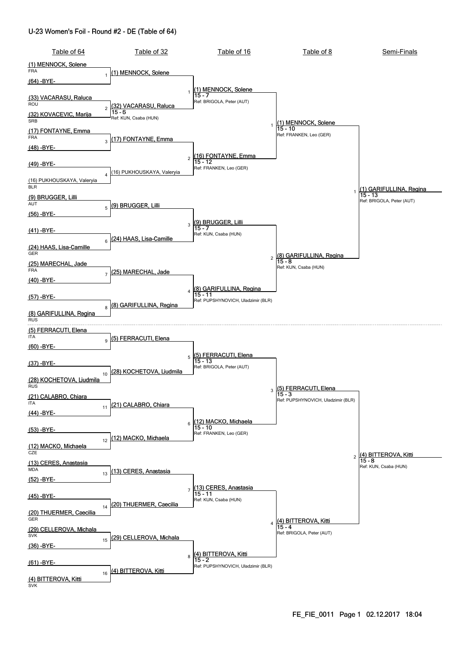#### U-23 Women's Foil - Round #2 - DE (Table of 64)

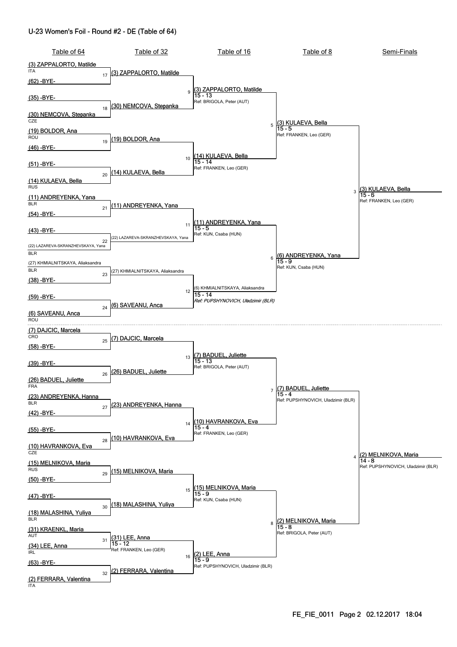#### U-23 Women's Foil - Round #2 - DE (Table of 64)

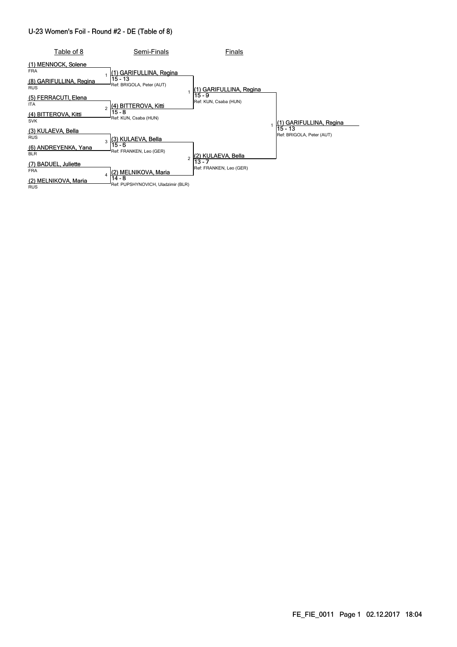#### U-23 Women's Foil - Round #2 - DE (Table of 8)

| Table of 8                            | Semi-Finals                                  | Finals                            |                                        |
|---------------------------------------|----------------------------------------------|-----------------------------------|----------------------------------------|
| MENNOCK, Solene<br>(1)<br><b>FRA</b>  | (1) GARIFULLINA, Regina                      |                                   |                                        |
| (8) GARIFULLINA, Regina<br><b>RUS</b> | $15 - 13$<br>Ref: BRIGOLA, Peter (AUT)       | (1) GARIFULLINA, Regina           |                                        |
| (5) FERRACUTI, Elena<br><b>ITA</b>    | (4) BITTEROVA, Kitti<br>$\overline{a}$       | $15 - 9$<br>Ref: KUN, Csaba (HUN) |                                        |
| (4) BITTEROVA, Kitti<br><b>SVK</b>    | $15 - 8$<br>Ref: KUN, Csaba (HUN)            |                                   | GARIFULLINA, Regina                    |
| (3) KULAEVA, Bella<br><b>RUS</b>      | (3) KULAEVA, Bella<br>3                      |                                   | $15 - 13$<br>Ref: BRIGOLA, Peter (AUT) |
| (6) ANDREYENKA, Yana<br><b>BLR</b>    | 15 - 6<br>Ref: FRANKEN, Leo (GER)            | (2) KULAEVA, Bella                |                                        |
| (7) BADUEL, Juliette<br><b>FRA</b>    | (2) MELNIKOVA, Maria<br>4                    | 13 - 7<br>Ref: FRANKEN, Leo (GER) |                                        |
| (2) MELNIKOVA, Maria<br><b>RUS</b>    | 14 - 8<br>Ref: PUPSHYNOVICH, Uladzimir (BLR) |                                   |                                        |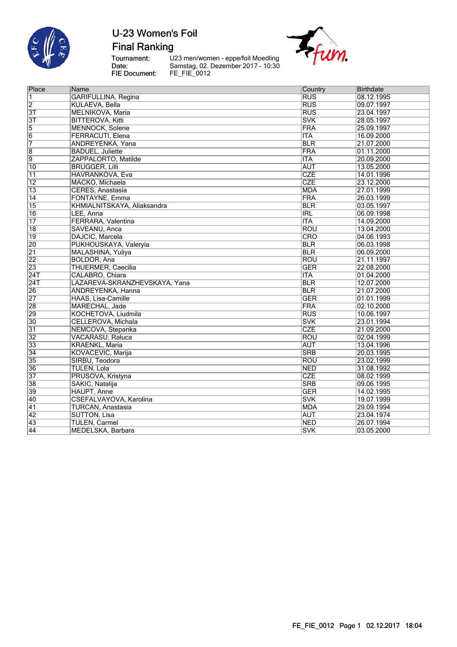

**Final Ranking** 

Tournament:<br>Date:<br>FIE Document:

U23 men/women - eppe/foil Moedling<br>Samstag, 02. Dezember 2017 - 10:30<br>FE\_FIE\_0012



| Place            | Name                          | Country                 | <b>Birthdate</b> |
|------------------|-------------------------------|-------------------------|------------------|
| 1                | <b>GARIFULLINA, Regina</b>    | RUS                     | 08.12.1995       |
| $\overline{2}$   | KULAEVA, Bella                | RUS                     | 09.07.1997       |
| $\overline{3T}$  | MELNIKOVA, Maria              | <b>RUS</b>              | 23.04.1997       |
| $\overline{3T}$  | <b>BITTEROVA, Kitti</b>       | <b>SVK</b>              | 28.05.1997       |
| $\overline{5}$   | <b>MENNOCK, Solene</b>        | <b>FRA</b>              | 25.09.1997       |
| $\overline{6}$   | FERRACUTI, Elena              | <b>ITA</b>              | 16.09.2000       |
| 7                | ANDREYENKA, Yana              | <b>BLR</b>              | 21.07.2000       |
| $\overline{8}$   | <b>BADUEL, Juliette</b>       | <b>FRA</b>              | 01.11.2000       |
| 9                | ZAPPALORTO, Matilde           | <b>ITA</b>              | 20.09.2000       |
| 10               | <b>BRUGGER, Lilli</b>         | <b>AUT</b>              | 13.05.2000       |
| $\overline{11}$  | <b>HAVRANKOVA, Eva</b>        | CZE                     | 14.01.1996       |
| $\overline{12}$  | MACKO, Michaela               | <b>CZE</b>              | 23.12.2000       |
| $\overline{13}$  | CERES, Anastasia              | <b>MDA</b>              | 27.01.1999       |
| $\overline{14}$  | FONTAYNE, Emma                | <b>FRA</b>              | 26.03.1999       |
| $\overline{15}$  | KHMIALNITSKAYA, Aliaksandra   | <b>BLR</b>              | 03.05.1997       |
| 16               | LEE, Anna                     | <b>IRL</b>              | 06.09.1998       |
| $\overline{17}$  | FERRARA, Valentina            | <b>ITA</b>              | 14.09.2000       |
| $\overline{18}$  | SAVEANU, Anca                 | <b>ROU</b>              | 13.04.2000       |
| $\overline{19}$  | DAJCIC, Marcela               | CRO                     | 04.06.1993       |
| 20               | PUKHOUSKAYA, Valeryia         | <b>BLR</b>              | 06.03.1998       |
| $\overline{21}$  | MALASHINA, Yuliya             | <b>BLR</b>              | 06.09.2000       |
| $\overline{22}$  | <b>BOLDOR, Ana</b>            | <b>ROU</b>              | 21.11.1997       |
| 23               | <b>THUERMER, Caecilia</b>     | <b>GER</b>              | 22.08.2000       |
| 24T              | CALABRO, Chiara               | <b>ITA</b>              | 01.04.2000       |
| $\overline{24T}$ | LAZAREVA-SKRANZHEVSKAYA, Yana | $\overline{BLR}$        | 12.07.2000       |
| 26               | ANDREYENKA, Hanna             | $\overline{BLR}$        | 21.07.2000       |
| $\overline{27}$  | HAAS, Lisa-Camille            | <b>GER</b>              | 01.01.1999       |
| 28               | MARECHAL, Jade                | FRA                     | 02.10.2000       |
| 29               | KOCHETOVA, Liudmila           | <b>RUS</b>              | 10.06.1997       |
| 30               | CELLEROVA, Michala            | <b>SVK</b>              | 23.01.1994       |
| $\overline{31}$  | NEMCOVA, Stepanka             | CZE                     | 21.09.2000       |
| $\overline{32}$  | VACARASU, Raluca              | ROU                     | 02.04.1999       |
| 33               | <b>KRAENKL, Maria</b>         | <b>AUT</b>              | 13.04.1996       |
| 34               | KOVACEVIC, Marija             | $\overline{\text{SRB}}$ | 20.03.1995       |
| 35               | SIRBU, Teodora                | ROU                     | 23.02.1999       |
| 36               | TULEN, Lola                   | <b>NED</b>              | 31.08.1992       |
| 37               | PRUSOVA, Kristyna             | CZE                     | 08.02.1999       |
| 38               | SAKIC, Natalija               | $\overline{\text{SRB}}$ | 09.06.1995       |
| 39               | HAUPT, Anne                   | <b>GER</b>              | 14.02.1995       |
| 40               | CSEFALVAYOVA, Karolina        | <b>SVK</b>              | 19.07.1999       |
| $\overline{41}$  | <b>TURCAN, Anastasia</b>      | <b>MDA</b>              | 29.09.1994       |
| $\overline{42}$  | <b>SUTTON, Lisa</b>           | <b>AUT</b>              | 23.04.1974       |
| 43               | <b>TULEN, Carmel</b>          | <b>NED</b>              | 26.07.1994       |
| $\overline{44}$  | <b>MEDELSKA Barbara</b>       | <b>SVK</b>              | 03.05.2000       |